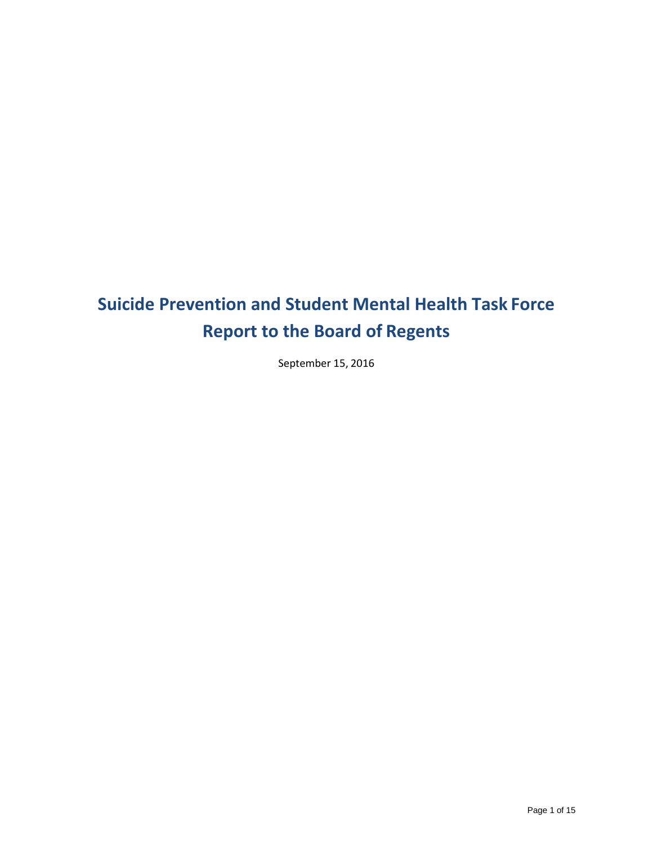# **Suicide Prevention and Student Mental Health Task Force Report to the Board of Regents**

September 15, 2016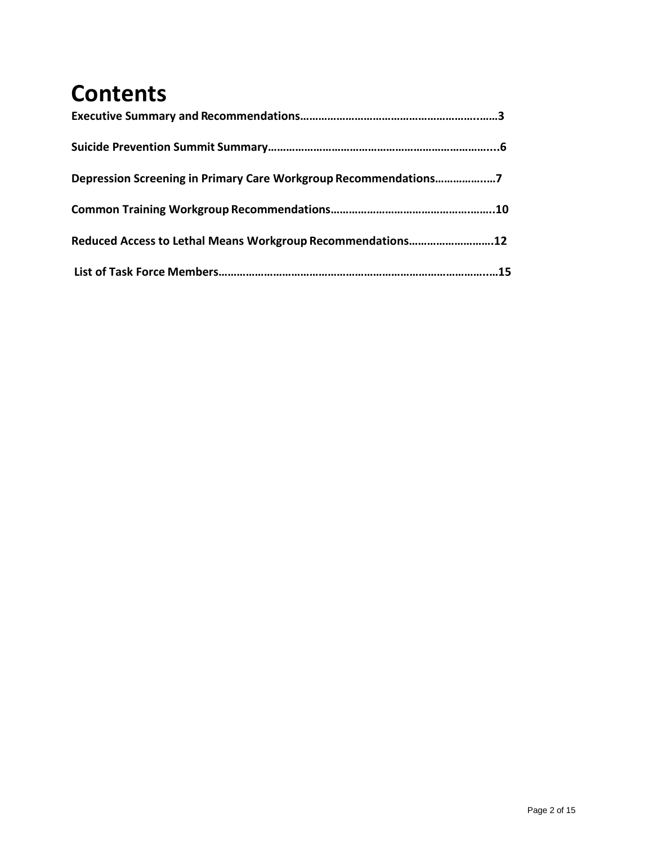# **Contents**

| Depression Screening in Primary Care Workgroup Recommendations7 |  |
|-----------------------------------------------------------------|--|
|                                                                 |  |
| Reduced Access to Lethal Means Workgroup Recommendations12      |  |
|                                                                 |  |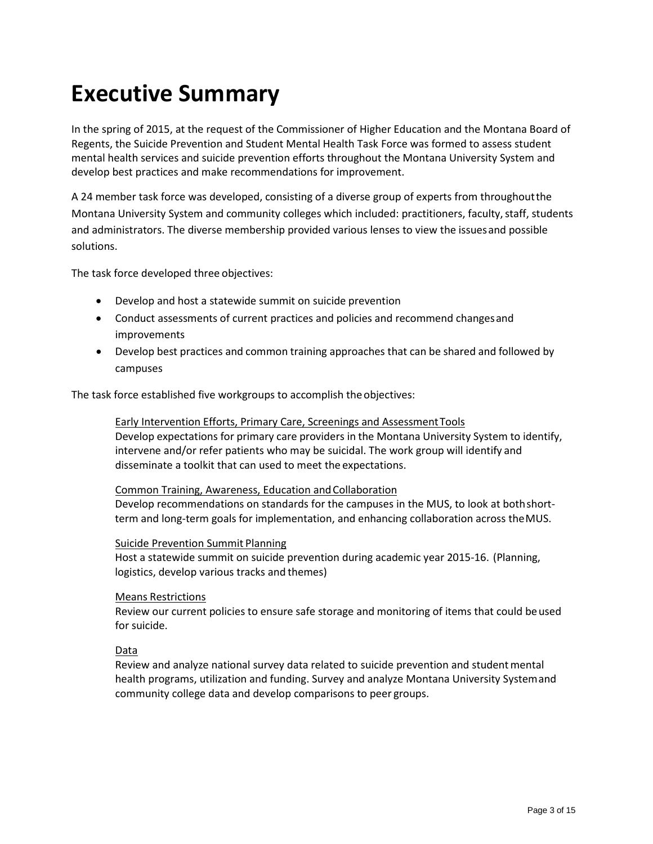# **Executive Summary**

In the spring of 2015, at the request of the Commissioner of Higher Education and the Montana Board of Regents, the Suicide Prevention and Student Mental Health Task Force was formed to assess student mental health services and suicide prevention efforts throughout the Montana University System and develop best practices and make recommendations for improvement.

A 24 member task force was developed, consisting of a diverse group of experts from throughoutthe Montana University System and community colleges which included: practitioners, faculty,staff, students and administrators. The diverse membership provided various lenses to view the issuesand possible solutions.

The task force developed three objectives:

- Develop and host a statewide summit on suicide prevention
- Conduct assessments of current practices and policies and recommend changesand improvements
- Develop best practices and common training approaches that can be shared and followed by campuses

The task force established five workgroups to accomplish the objectives:

Early Intervention Efforts, Primary Care, Screenings and AssessmentTools Develop expectations for primary care providers in the Montana University System to identify, intervene and/or refer patients who may be suicidal. The work group will identify and disseminate a toolkit that can used to meet the expectations.

#### Common Training, Awareness, Education and Collaboration

Develop recommendations on standards for the campuses in the MUS, to look at bothshortterm and long-term goals for implementation, and enhancing collaboration across theMUS.

#### Suicide Prevention Summit Planning

Host a statewide summit on suicide prevention during academic year 2015-16. (Planning, logistics, develop various tracks and themes)

#### Means Restrictions

Review our current policies to ensure safe storage and monitoring of items that could beused for suicide.

#### Data

Review and analyze national survey data related to suicide prevention and student mental health programs, utilization and funding. Survey and analyze Montana University Systemand community college data and develop comparisons to peer groups.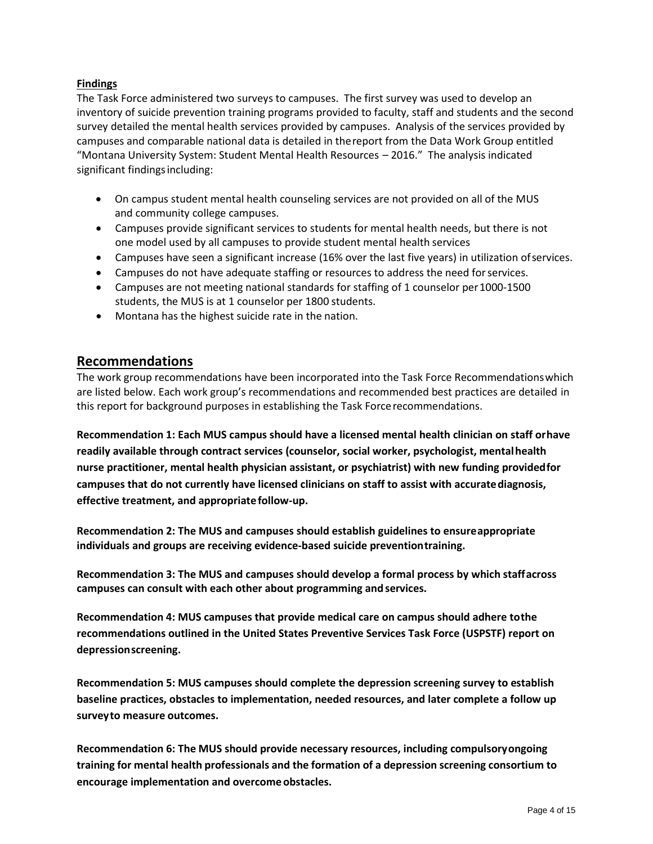### **Findings**

The Task Force administered two surveys to campuses. The first survey was used to develop an inventory of suicide prevention training programs provided to faculty, staff and students and the second survey detailed the mental health services provided by campuses. Analysis of the services provided by campuses and comparable national data is detailed in thereport from the Data Work Group entitled "Montana University System: Student Mental Health Resources – 2016." The analysis indicated significant findings including:

- On campus student mental health counseling services are not provided on all of the MUS and community college campuses.
- Campuses provide significant services to students for mental health needs, but there is not one model used by all campuses to provide student mental health services
- Campuses have seen a significant increase (16% over the last five years) in utilization ofservices.
- Campuses do not have adequate staffing or resources to address the need for services.
- Campuses are not meeting national standards for staffing of 1 counselor per 1000-1500 students, the MUS is at 1 counselor per 1800 students.
- Montana has the highest suicide rate in the nation.

## **Recommendations**

The work group recommendations have been incorporated into the Task Force Recommendationswhich are listed below. Each work group's recommendations and recommended best practices are detailed in this report for background purposes in establishing the Task Forcerecommendations.

**Recommendation 1: Each MUS campus should have a licensed mental health clinician on staff orhave readily available through contract services (counselor, social worker, psychologist, mentalhealth nurse practitioner, mental health physician assistant, or psychiatrist) with new funding providedfor campuses that do not currently have licensed clinicians on staff to assist with accuratediagnosis, effective treatment, and appropriate follow-up.**

**Recommendation 2: The MUS and campuses should establish guidelines to ensureappropriate individuals and groups are receiving evidence-based suicide preventiontraining.**

**Recommendation 3: The MUS and campuses should develop a formal process by which staffacross campuses can consult with each other about programming andservices.**

**Recommendation 4: MUS campuses that provide medical care on campus should adhere tothe recommendations outlined in the United States Preventive Services Task Force (USPSTF) report on depressionscreening.**

**Recommendation 5: MUS campuses should complete the depression screening survey to establish baseline practices, obstacles to implementation, needed resources, and later complete a follow up surveyto measure outcomes.**

**Recommendation 6: The MUS should provide necessary resources, including compulsoryongoing training for mental health professionals and the formation of a depression screening consortium to encourage implementation and overcome obstacles.**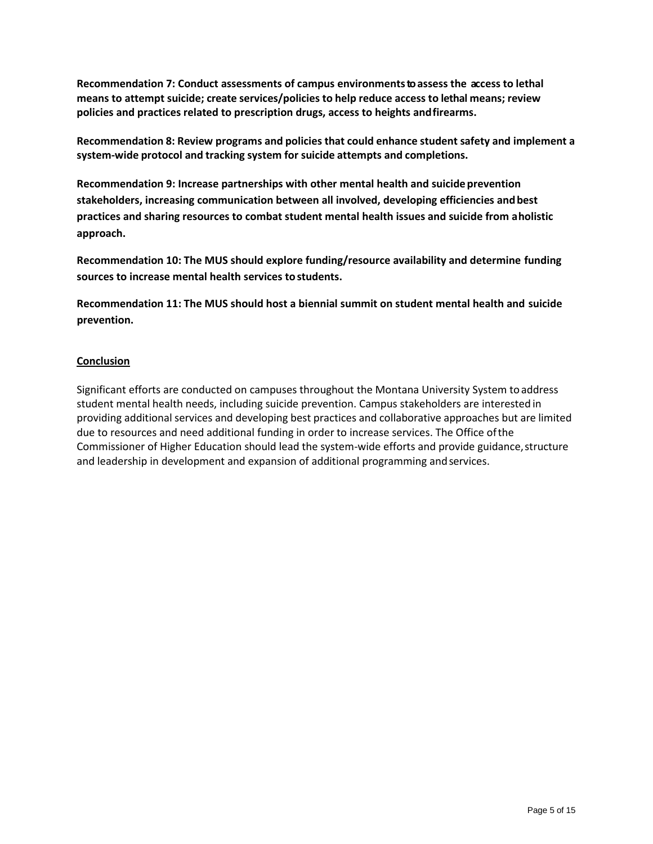**Recommendation 7: Conduct assessments of campus environmentsto assess the access to lethal means to attempt suicide; create services/policies to help reduce access to lethal means; review policies and practices related to prescription drugs, access to heights andfirearms.**

**Recommendation 8: Review programs and policies that could enhance student safety and implement a system-wide protocol and tracking system for suicide attempts and completions.**

**Recommendation 9: Increase partnerships with other mental health and suicide prevention stakeholders, increasing communication between all involved, developing efficiencies andbest practices and sharing resources to combat student mental health issues and suicide from aholistic approach.**

**Recommendation 10: The MUS should explore funding/resource availability and determine funding sources to increase mental health services to students.**

**Recommendation 11: The MUS should host a biennial summit on student mental health and suicide prevention.**

#### **Conclusion**

Significant efforts are conducted on campuses throughout the Montana University System toaddress student mental health needs, including suicide prevention. Campus stakeholders are interested in providing additional services and developing best practices and collaborative approaches but are limited due to resources and need additional funding in order to increase services. The Office ofthe Commissioner of Higher Education should lead the system-wide efforts and provide guidance,structure and leadership in development and expansion of additional programming andservices.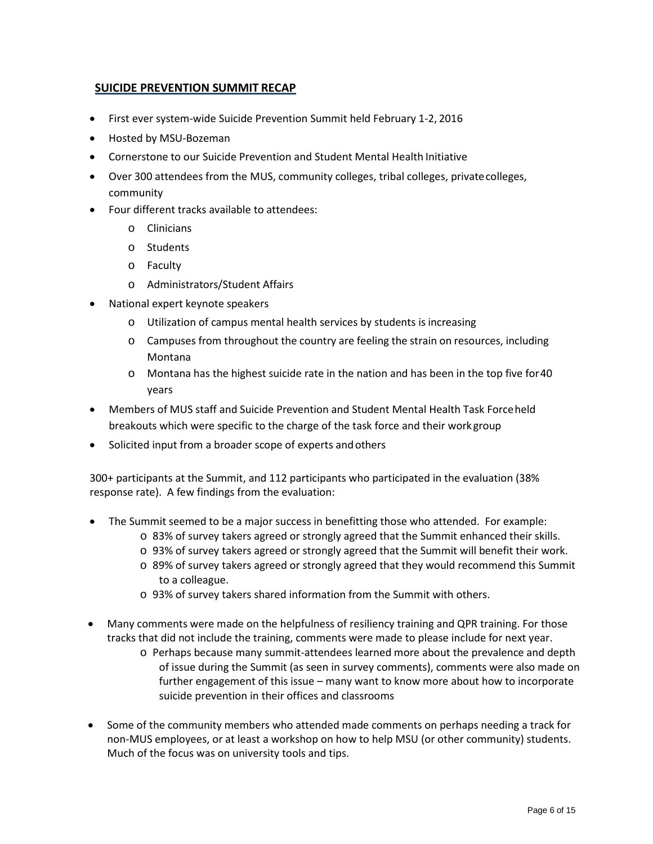### **SUICIDE PREVENTION SUMMIT RECAP**

- First ever system-wide Suicide Prevention Summit held February 1-2, 2016
- Hosted by MSU-Bozeman
- Cornerstone to our Suicide Prevention and Student Mental Health Initiative
- Over 300 attendees from the MUS, community colleges, tribal colleges, privatecolleges, community
- Four different tracks available to attendees:
	- o Clinicians
	- o Students
	- o Faculty
	- o Administrators/Student Affairs
- National expert keynote speakers
	- o Utilization of campus mental health services by students isincreasing
	- o Campuses from throughout the country are feeling the strain on resources, including Montana
	- $\circ$  Montana has the highest suicide rate in the nation and has been in the top five for 40 years
- Members of MUS staff and Suicide Prevention and Student Mental Health Task Forceheld breakouts which were specific to the charge of the task force and their workgroup
- Solicited input from a broader scope of experts and others

300+ participants at the Summit, and 112 participants who participated in the evaluation (38% response rate). A few findings from the evaluation:

- The Summit seemed to be a major success in benefitting those who attended. For example:
	- o 83% of survey takers agreed or strongly agreed that the Summit enhanced their skills.
	- o 93% of survey takers agreed or strongly agreed that the Summit will benefit their work.
	- o 89% of survey takers agreed or strongly agreed that they would recommend this Summit to a colleague.
	- o 93% of survey takers shared information from the Summit with others.
- Many comments were made on the helpfulness of resiliency training and QPR training. For those tracks that did not include the training, comments were made to please include for next year.
	- o Perhaps because many summit-attendees learned more about the prevalence and depth of issue during the Summit (as seen in survey comments), comments were also made on further engagement of this issue – many want to know more about how to incorporate suicide prevention in their offices and classrooms
- Some of the community members who attended made comments on perhaps needing a track for non-MUS employees, or at least a workshop on how to help MSU (or other community) students. Much of the focus was on university tools and tips.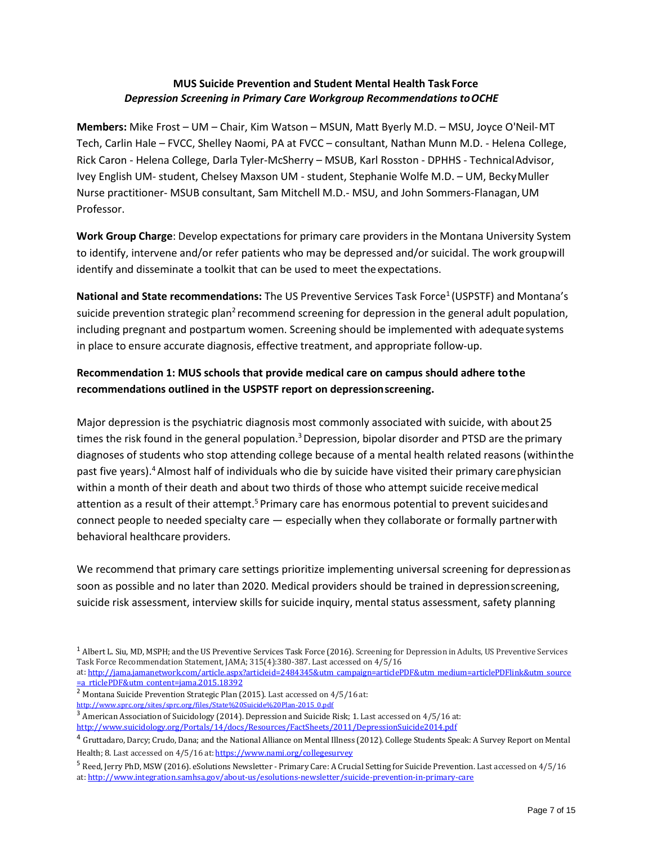### **MUS Suicide Prevention and Student Mental Health Task Force** *Depression Screening in Primary Care Workgroup Recommendations toOCHE*

**Members:** Mike Frost – UM – Chair, Kim Watson – MSUN, Matt Byerly M.D. – MSU, Joyce O'Neil-MT Tech, Carlin Hale – FVCC, Shelley Naomi, PA at FVCC – consultant, Nathan Munn M.D. - Helena College, Rick Caron - Helena College, Darla Tyler-McSherry – MSUB, Karl Rosston - DPHHS - TechnicalAdvisor, Ivey English UM- student, Chelsey Maxson UM - student, Stephanie Wolfe M.D. – UM, BeckyMuller Nurse practitioner- MSUB consultant, Sam Mitchell M.D.- MSU, and John Sommers-Flanagan,UM Professor.

**Work Group Charge**: Develop expectations for primary care providers in the Montana University System to identify, intervene and/or refer patients who may be depressed and/or suicidal. The work groupwill identify and disseminate a toolkit that can be used to meet the expectations.

National and State recommendations: The US Preventive Services Task Force<sup>1</sup> (USPSTF) and Montana's suicide prevention strategic plan<sup>2</sup> recommend screening for depression in the general adult population, including pregnant and postpartum women. Screening should be implemented with adequate systems in place to ensure accurate diagnosis, effective treatment, and appropriate follow-up.

## **Recommendation 1: MUS schools that provide medical care on campus should adhere tothe recommendations outlined in the USPSTF report on depressionscreening.**

Major depression is the psychiatric diagnosis most commonly associated with suicide, with about25 times the risk found in the general population.<sup>3</sup> Depression, bipolar disorder and PTSD are the primary diagnoses of students who stop attending college because of a mental health related reasons (withinthe past five years)[.4A](#page-6-3)lmost half of individuals who die by suicide have visited their primary carephysician within a month of their death and about two thirds of those who attempt suicide receivemedical attention as a result of their attempt.<sup>5</sup> Primary care has enormous potential to prevent suicides and connect people to needed specialty care — especially when they collaborate or formally partnerwith behavioral healthcare providers.

We recommend that primary care settings prioritize implementing universal screening for depressionas soon as possible and no later than 2020. Medical providers should be trained in depressionscreening, suicide risk assessment, interview skills for suicide inquiry, mental status assessment, safety planning

at[: http://jama.jamanetwork.com/article.aspx?articleid=2484345&utm\\_campaign=articlePDF&utm\\_medium=articlePDFlink&utm\\_source](http://jama.jamanetwork.com/article.aspx?articleid=2484345&utm_campaign=articlePDF&utm_medium=articlePDFlink&utm_source=articlePDF&utm_content=jama.2015.18392) = a rticlePDF&utm\_content=jama.2015.18392

<span id="page-6-1"></span> $^2$  Montana Suicide Prevention Strategic Plan (2015). Last accessed on 4/5/16 at:

<span id="page-6-0"></span><sup>1</sup> Albert L. Siu, MD, MSPH; and the US Preventive Services Task Force (2016). Screening for Depression in Adults, US Preventive Services Task Force Recommendation Statement, JAMA; 315(4):380-387. Last accessed on 4/5/16

[http://www.sprc.org/sites/sprc.org/files/State%20Suicide%20Plan-2015\\_0.pdf](http://www.sprc.org/sites/sprc.org/files/State%20Suicide%20Plan-2015_0.pdf)

<span id="page-6-2"></span><sup>&</sup>lt;sup>3</sup> American Association of Suicidology (2014). Depression and Suicide Risk; 1. Last accessed on 4/5/16 at: <http://www.suicidology.org/Portals/14/docs/Resources/FactSheets/2011/DepressionSuicide2014.pdf>

<span id="page-6-3"></span><sup>4</sup> Gruttadaro, Darcy; Crudo, Dana; and the National Alliance on Mental Illness (2012). College Students Speak: <sup>A</sup> Survey Report on Mental Health; 8. Last accessed on 4/5/16 at: <https://www.nami.org/collegesurvey>

<span id="page-6-4"></span><sup>5</sup> Reed, Jerry PhD, MSW (2016). eSolutions Newsletter - Primary Care: <sup>A</sup> Crucial Setting for Suicide Prevention. Last accessed on 4/5/16 at: <http://www.integration.samhsa.gov/about-us/esolutions-newsletter/suicide-prevention-in-primary-care>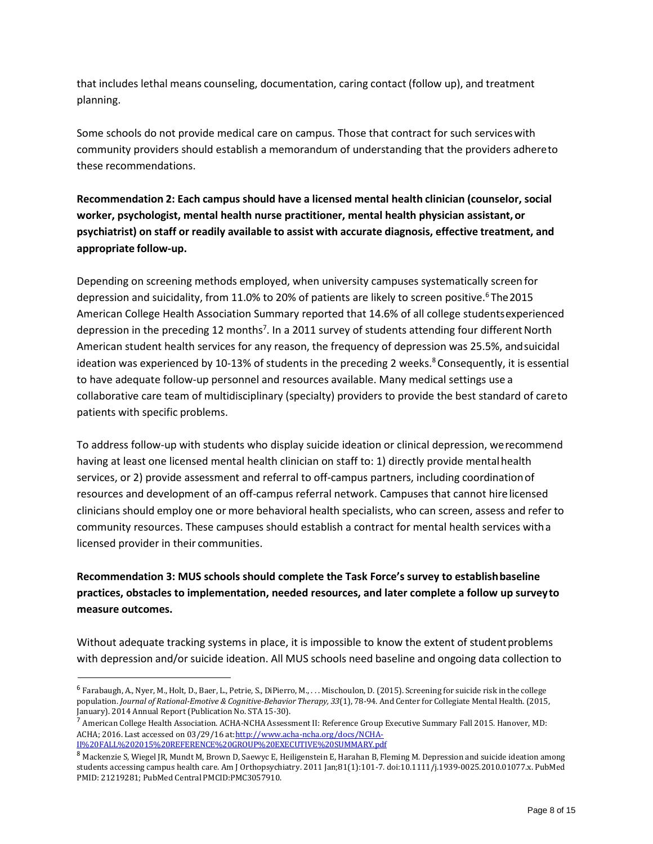that includes lethal means counseling, documentation, caring contact (follow up), and treatment planning.

Some schools do not provide medical care on campus. Those that contract for such serviceswith community providers should establish a memorandum of understanding that the providers adhereto these recommendations.

**Recommendation 2: Each campus should have a licensed mental health clinician (counselor, social worker, psychologist, mental health nurse practitioner, mental health physician assistant,or psychiatrist) on staff or readily available to assist with accurate diagnosis, effective treatment, and appropriate follow-up.**

Depending on screening methods employed, when university campuses systematically screen for depression and suicidality, from 11.0% to 20% of patients are likely to screen positive.<sup>6</sup> The 2015 American College Health Association Summary reported that 14.6% of all college studentsexperienced depression in the preceding 12 months<sup>7</sup>. In a 2011 survey of students attending four different North American student health services for any reason, the frequency of depression was 25.5%, andsuicidal ideation was experienced by 10-13% of students in the preceding 2 weeks.<sup>8</sup> Consequently, it is essential to have adequate follow-up personnel and resources available. Many medical settings use a collaborative care team of multidisciplinary (specialty) providers to provide the best standard of careto patients with specific problems.

To address follow-up with students who display suicide ideation or clinical depression, werecommend having at least one licensed mental health clinician on staff to: 1) directly provide mental health services, or 2) provide assessment and referral to off-campus partners, including coordinationof resources and development of an off-campus referral network. Campuses that cannot hire licensed clinicians should employ one or more behavioral health specialists, who can screen, assess and refer to community resources. These campuses should establish a contract for mental health services witha licensed provider in their communities.

## **Recommendation 3: MUS schools should complete the Task Force's survey to establishbaseline practices, obstacles to implementation, needed resources, and later complete a follow up surveyto measure outcomes.**

Without adequate tracking systems in place, it is impossible to know the extent of studentproblems with depression and/or suicide ideation. All MUS schools need baseline and ongoing data collection to

<span id="page-7-0"></span><sup>&</sup>lt;sup>6</sup> Farabaugh, A., Nyer, M., Holt, D., Baer, L., Petrie, S., DiPierro, M., . . . Mischoulon, D. (2015). Screening for suicide risk in the college population. *Journal of Rational-Emotive & Cognitive-Behavior Therapy, 33*(1), 78-94. And Center for Collegiate Mental Health. (2015,

<span id="page-7-1"></span><sup>&</sup>lt;sup>7</sup> American College Health Association. ACHA-NCHA Assessment II: Reference Group Executive Summary Fall 2015. Hanover, MD: ACHA; 2016. Last accessed on 03/29/16 at: http://www.acha-ncha.org/docs/NCHA-[II%20FALL%202015%20REFERENCE%20GROUP%20EXECUTIVE%20SUMMARY.pdf](http://www.acha-ncha.org/docs/NCHA-II%20FALL%202015%20REFERENCE%20GROUP%20EXECUTIVE%20SUMMARY.pdf)

<span id="page-7-2"></span><sup>8</sup> Mackenzie S, Wiegel JR, Mundt M, Brown D, Saewyc E, Heiligenstein E, Harahan B, Fleming M. Depression and suicide ideation among students accessing campus health care. Am J Orthopsychiatry. 2011 Jan;81(1):101-7. doi:10.1111/j.1939-0025.2010.01077.x. PubMed PMID: 21219281; PubMed Central PMCID:PMC3057910.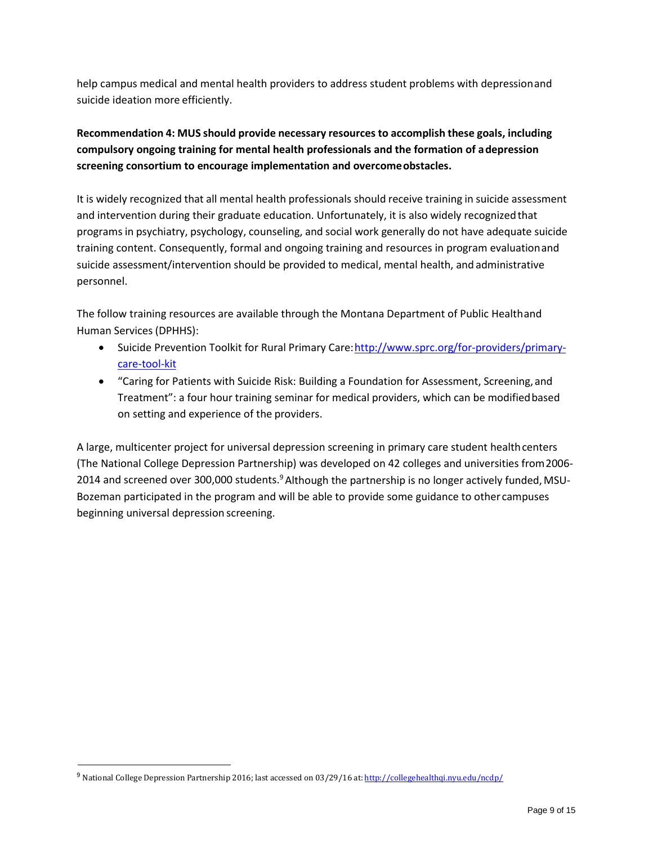help campus medical and mental health providers to address student problems with depressionand suicide ideation more efficiently.

## **Recommendation 4: MUS should provide necessary resources to accomplish these goals, including compulsory ongoing training for mental health professionals and the formation of adepression screening consortium to encourage implementation and overcomeobstacles.**

It is widely recognized that all mental health professionals should receive training in suicide assessment and intervention during their graduate education. Unfortunately, it is also widely recognizedthat programs in psychiatry, psychology, counseling, and social work generally do not have adequate suicide training content. Consequently, formal and ongoing training and resources in program evaluationand suicide assessment/intervention should be provided to medical, mental health, and administrative personnel.

The follow training resources are available through the Montana Department of Public Healthand Human Services (DPHHS):

- Suicide Prevention Toolkit for Rural Primary Care[:http://www.sprc.org/for-providers/primary](http://www.sprc.org/for-providers/primary-care-tool-kit)[care-tool-kit](http://www.sprc.org/for-providers/primary-care-tool-kit)
- "Caring for Patients with Suicide Risk: Building a Foundation for Assessment, Screening,and Treatment": a four hour training seminar for medical providers, which can be modifiedbased on setting and experience of the providers.

A large, multicenter project for universal depression screening in primary care student healthcenters (The National College Depression Partnership) was developed on 42 colleges and universities from2006- 2014 and screened over 300,000 students.<sup>9</sup> Although the partnership is no longer actively funded, MSU-Bozeman participated in the program and will be able to provide some guidance to other campuses beginning universal depression screening.

<span id="page-8-0"></span><sup>9</sup> National College Depression Partnership 2016; last accessed on 03/29/16 at: <http://collegehealthqi.nyu.edu/ncdp/>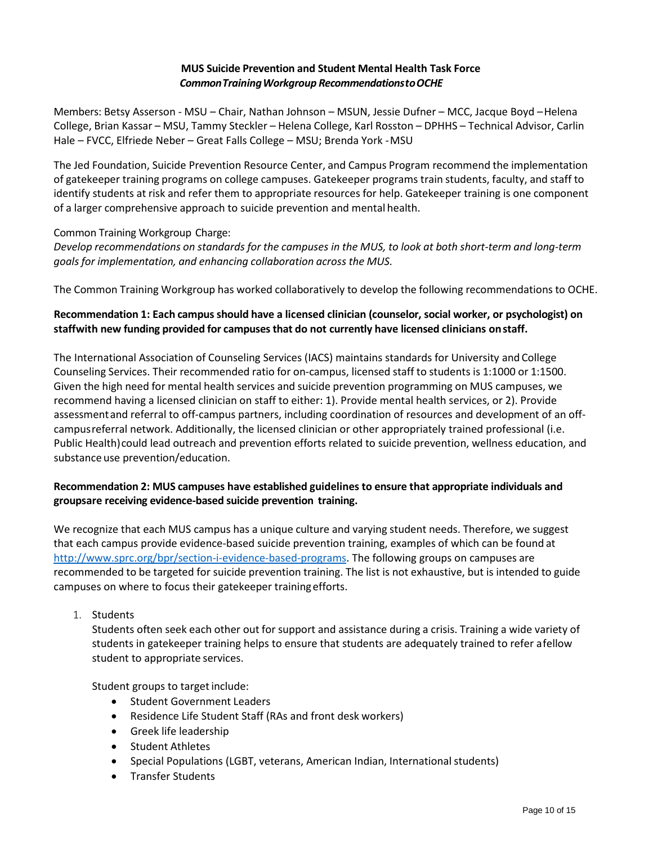### **MUS Suicide Prevention and Student Mental Health Task Force** *CommonTrainingWorkgroup RecommendationstoOCHE*

Members: Betsy Asserson - MSU – Chair, Nathan Johnson – MSUN, Jessie Dufner – MCC, Jacque Boyd –Helena College, Brian Kassar – MSU, Tammy Steckler – Helena College, Karl Rosston – DPHHS – Technical Advisor, Carlin Hale – FVCC, Elfriede Neber – Great Falls College – MSU; Brenda York -MSU

The Jed Foundation, Suicide Prevention Resource Center, and Campus Program recommend the implementation of gatekeeper training programs on college campuses. Gatekeeper programs train students, faculty, and staff to identify students at risk and refer them to appropriate resources for help. Gatekeeper training is one component of a larger comprehensive approach to suicide prevention and mental health.

#### Common Training Workgroup Charge:

Develop recommendations on standards for the campuses in the MUS, to look at both short-term and long-term *goals for implementation, and enhancing collaboration across the MUS.* 

The Common Training Workgroup has worked collaboratively to develop the following recommendations to OCHE.

## **Recommendation 1: Each campusshould have a licensed clinician (counselor, social worker, or psychologist) on staffwith new funding provided for campuses that do not currently have licensed clinicians onstaff.**

The International Association of Counseling Services (IACS) maintains standards for University and College Counseling Services. Their recommended ratio for on-campus, licensed staff to students is 1:1000 or 1:1500. Given the high need for mental health services and suicide prevention programming on MUS campuses, we recommend having a licensed clinician on staff to either: 1). Provide mental health services, or 2). Provide assessmentand referral to off-campus partners, including coordination of resources and development of an offcampusreferral network. Additionally, the licensed clinician or other appropriately trained professional (i.e. Public Health)could lead outreach and prevention efforts related to suicide prevention, wellness education, and substance use prevention/education.

## **Recommendation 2: MUS campuses have established guidelines to ensure that appropriate individuals and groupsare receiving evidence-based suicide prevention training.**

We recognize that each MUS campus has a unique culture and varying student needs. Therefore, we suggest that each campus provide evidence-based suicide prevention training, examples of which can be found at [http://www.sprc.org/bpr/section-i-evidence-based-programs.](http://www.sprc.org/bpr/section-i-evidence-based-programs) The following groups on campuses are recommended to be targeted for suicide prevention training. The list is not exhaustive, but is intended to guide campuses on where to focus their gatekeeper trainingefforts.

1. Students

Students often seek each other out for support and assistance during a crisis. Training a wide variety of students in gatekeeper training helps to ensure that students are adequately trained to refer afellow student to appropriate services.

Student groups to target include:

- Student Government Leaders
- Residence Life Student Staff (RAs and front desk workers)
- Greek life leadership
- Student Athletes
- Special Populations (LGBT, veterans, American Indian, International students)
- Transfer Students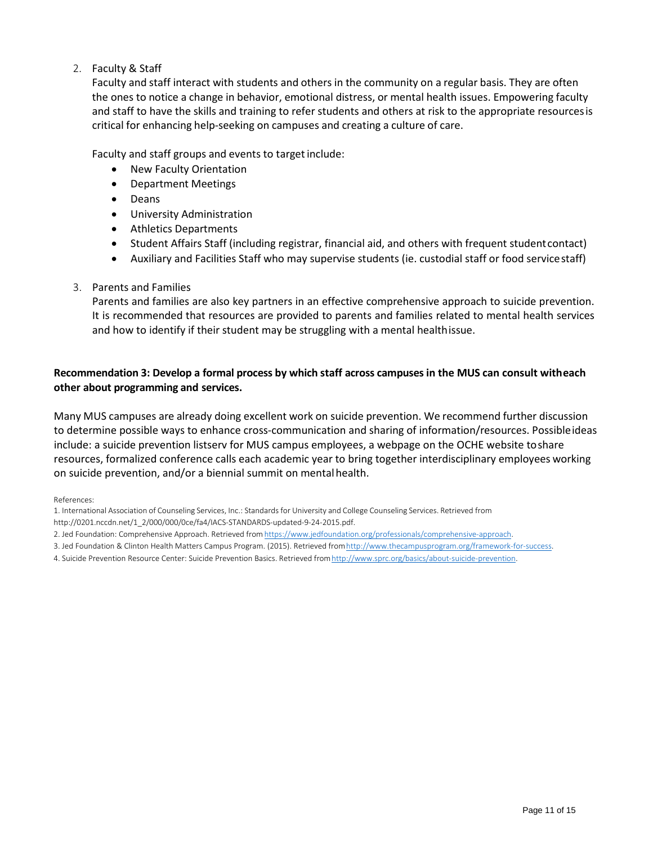## 2. Faculty & Staff

Faculty and staff interact with students and others in the community on a regular basis. They are often the ones to notice a change in behavior, emotional distress, or mental health issues. Empowering faculty and staff to have the skills and training to refer students and others at risk to the appropriate resourcesis critical for enhancing help-seeking on campuses and creating a culture of care.

Faculty and staff groups and events to target include:

- New Faculty Orientation
- Department Meetings
- Deans
- University Administration
- Athletics Departments
- Student Affairs Staff (including registrar, financial aid, and others with frequent studentcontact)
- Auxiliary and Facilities Staff who may supervise students (ie. custodial staff or food servicestaff)
- 3. Parents and Families

Parents and families are also key partners in an effective comprehensive approach to suicide prevention. It is recommended that resources are provided to parents and families related to mental health services and how to identify if their student may be struggling with a mental healthissue.

### **Recommendation 3: Develop a formal process by which staff across campuses in the MUS can consult witheach other about programming and services.**

Many MUS campuses are already doing excellent work on suicide prevention. We recommend further discussion to determine possible ways to enhance cross-communication and sharing of information/resources. Possibleideas include: a suicide prevention listserv for MUS campus employees, a webpage on the OCHE website toshare resources, formalized conference calls each academic year to bring together interdisciplinary employees working on suicide prevention, and/or a biennial summit on mental health.

References:

1. International Association of Counseling Services, Inc.: Standards for University and College Counseling Services. Retrieved from

[http://0201.nccdn.net/1\\_2/000/000/0ce/fa4/IACS-STANDARDS-updated-9-24-2015.pdf.](http://0201.nccdn.net/1_2/000/000/0ce/fa4/IACS-STANDARDS-updated-9-24-2015.pdf)

- 2. Jed Foundation: Comprehensive Approach. Retrieved from https://www.jedfoundation.org/professionals/comprehensive-approach.
- 3. Jed Foundation & Clinton Health Matters Campus Program. (2015). Retrieved from http://www.thecampusprogram.org/framework-for-success.
- 4. Suicide Prevention Resource Center: Suicide Prevention Basics. Retrieved fro[mhttp://www.sprc.org/basics/about-suicide-prevention.](http://www.sprc.org/basics/about-suicide-prevention)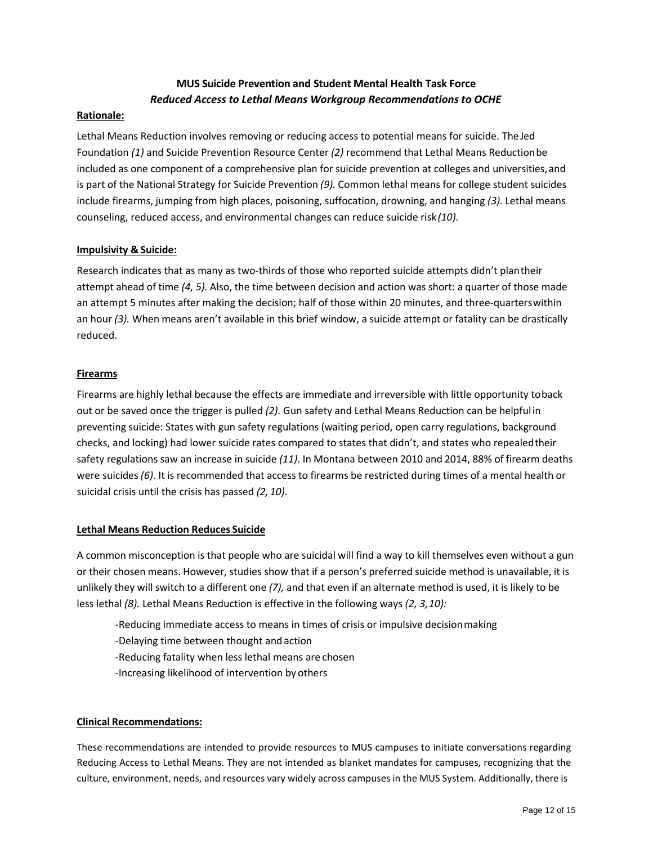## **MUS Suicide Prevention and Student Mental Health Task Force** *Reduced Access to Lethal Means Workgroup Recommendations to OCHE*

#### **Rationale:**

Lethal Means Reduction involves removing or reducing access to potential means for suicide. The Jed Foundation *(1)* and Suicide Prevention Resource Center *(2)* recommend that Lethal Means Reductionbe included as one component of a comprehensive plan for suicide prevention at colleges and universities, and is part of the National Strategy for Suicide Prevention *(9).* Common lethal means for college student suicides include firearms, jumping from high places, poisoning, suffocation, drowning, and hanging *(3).* Lethal means counseling, reduced access, and environmental changes can reduce suicide risk*(10).*

#### **Impulsivity & Suicide:**

Research indicates that as many as two-thirds of those who reported suicide attempts didn't plantheir attempt ahead of time *(4, 5).* Also, the time between decision and action was short: a quarter of those made an attempt 5 minutes after making the decision; half of those within 20 minutes, and three-quarterswithin an hour *(3).* When means aren't available in this brief window, a suicide attempt or fatality can be drastically reduced.

#### **Firearms**

Firearms are highly lethal because the effects are immediate and irreversible with little opportunity toback out or be saved once the trigger is pulled *(2).* Gun safety and Lethal Means Reduction can be helpful in preventing suicide: States with gun safety regulations (waiting period, open carry regulations, background checks, and locking) had lower suicide rates compared to states that didn't, and states who repealedtheir safety regulations saw an increase in suicide *(11)*. In Montana between 2010 and 2014, 88% of firearm deaths were suicides *(6).* It is recommended that access to firearms be restricted during times of a mental health or suicidal crisis until the crisis has passed *(2, 10).*

#### **Lethal Means Reduction Reduces Suicide**

A common misconception is that people who are suicidal will find a way to kill themselves even without a gun or their chosen means. However, studies show that if a person's preferred suicide method is unavailable, it is unlikely they will switch to a different one *(7),* and that even if an alternate method is used, it is likely to be less lethal *(8).* Lethal Means Reduction is effective in the following ways *(2, 3,10):*

- -Reducing immediate access to means in times of crisis or impulsive decisionmaking
- -Delaying time between thought and action
- -Reducing fatality when less lethal means are chosen
- -Increasing likelihood of intervention by others

#### **Clinical Recommendations:**

These recommendations are intended to provide resources to MUS campuses to initiate conversations regarding Reducing Access to Lethal Means. They are not intended as blanket mandates for campuses, recognizing that the culture, environment, needs, and resources vary widely across campuses in the MUS System. Additionally, there is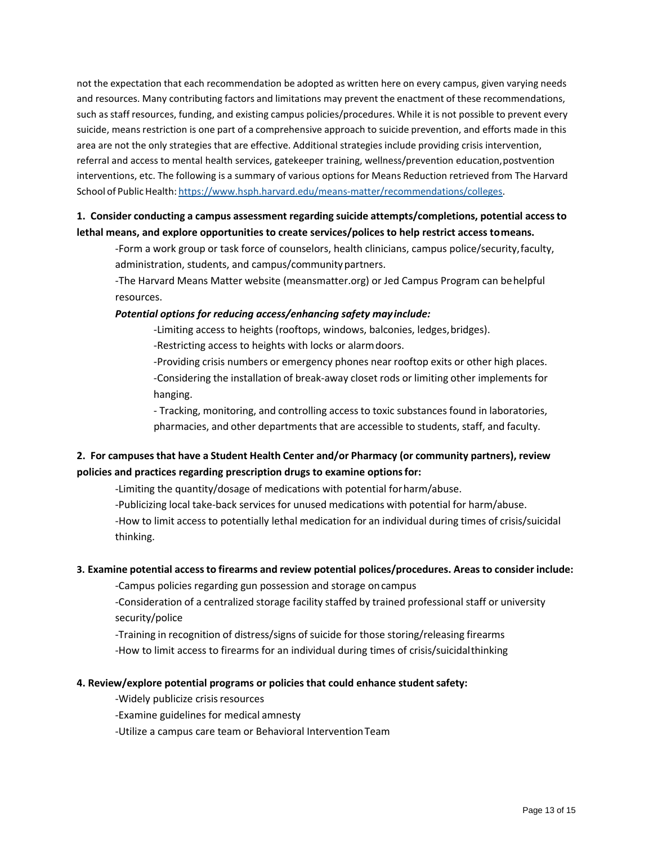not the expectation that each recommendation be adopted as written here on every campus, given varying needs and resources. Many contributing factors and limitations may prevent the enactment of these recommendations, such as staff resources, funding, and existing campus policies/procedures. While it is not possible to prevent every suicide, means restriction is one part of a comprehensive approach to suicide prevention, and efforts made in this area are not the only strategies that are effective. Additional strategies include providing crisis intervention, referral and access to mental health services, gatekeeper training, wellness/prevention education,postvention interventions, etc. The following is a summary of various options for Means Reduction retrieved from The Harvard School of Public Health: [https://www.hsph.harvard.edu/means-matter/recommendations/colleges.](https://www.hsph.harvard.edu/means-matter/recommendations/colleges)

## **1. Consider conducting a campus assessment regarding suicide attempts/completions, potential accessto lethal means, and explore opportunities to create services/polices to help restrict access tomeans.**

-Form a work group or task force of counselors, health clinicians, campus police/security,faculty, administration, students, and campus/communitypartners.

-The Harvard Means Matter website (meansmatter.org) or Jed Campus Program can behelpful resources.

#### *Potential options for reducing access/enhancing safety mayinclude:*

-Limiting access to heights (rooftops, windows, balconies, ledges, bridges).

-Restricting access to heights with locks or alarmdoors.

-Providing crisis numbers or emergency phones near rooftop exits or other high places. -Considering the installation of break-away closet rods or limiting other implements for hanging.

- Tracking, monitoring, and controlling access to toxic substances found in laboratories, pharmacies, and other departments that are accessible to students, staff, and faculty.

## **2. For campusesthat have a Student Health Center and/or Pharmacy (or community partners), review policies and practices regarding prescription drugs to examine optionsfor:**

-Limiting the quantity/dosage of medications with potential forharm/abuse.

-Publicizing local take-back services for unused medications with potential for harm/abuse. -How to limit access to potentially lethal medication for an individual during times of crisis/suicidal thinking.

#### **3. Examine potential accessto firearms and review potential polices/procedures. Areas to consider include:**

-Campus policies regarding gun possession and storage oncampus

-Consideration of a centralized storage facility staffed by trained professional staff or university security/police

-Training in recognition of distress/signs of suicide for those storing/releasing firearms -How to limit access to firearms for an individual during times of crisis/suicidalthinking

#### **4. Review/explore potential programs or policies that could enhance studentsafety:**

-Widely publicize crisis resources

-Examine guidelines for medical amnesty

-Utilize a campus care team or Behavioral InterventionTeam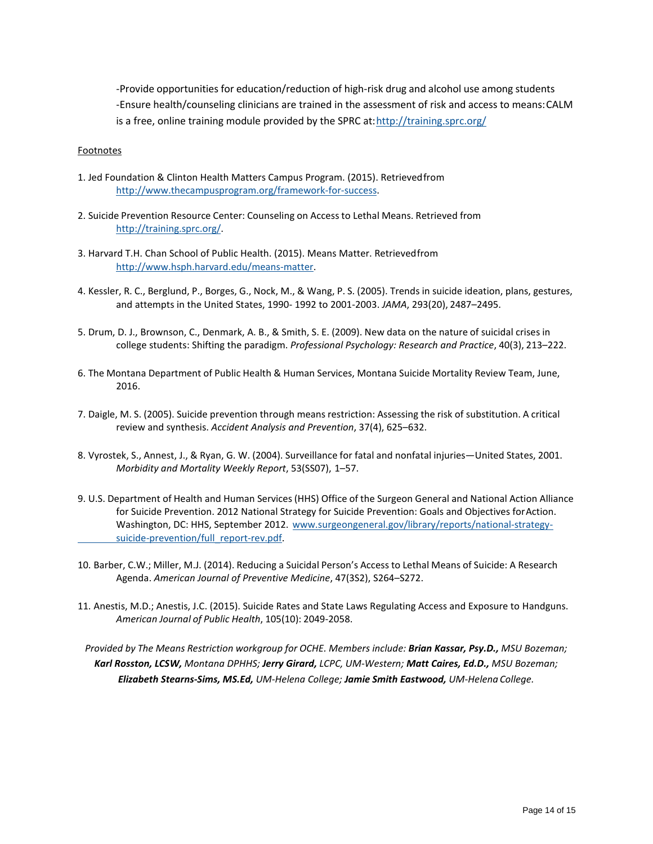-Provide opportunities for education/reduction of high-risk drug and alcohol use among students -Ensure health/counseling clinicians are trained in the assessment of risk and access to means:CALM is a free, online training module provided by the SPRC at[:http://training.sprc.org/](http://training.sprc.org/)

#### **Footnotes**

- 1. Jed Foundation & Clinton Health Matters Campus Program. (2015). Retrievedfrom [http://www.thecampusprogram.org/framework-for-success.](http://www.thecampusprogram.org/framework-for-success)
- 2. Suicide Prevention Resource Center: Counseling on Access to Lethal Means. Retrieved from [http://training.sprc.org/.](http://training.sprc.org/)
- 3. Harvard T.H. Chan School of Public Health. (2015). Means Matter. Retrievedfrom [http://www.hsph.harvard.edu/means-matter.](http://www.hsph.harvard.edu/means-matter)
- 4. Kessler, R. C., Berglund, P., Borges, G., Nock, M., & Wang, P. S. (2005). Trends in suicide ideation, plans, gestures, and attempts in the United States, 1990- 1992 to 2001-2003. *JAMA*, 293(20), 2487–2495.
- 5. Drum, D. J., Brownson, C., Denmark, A. B., & Smith, S. E. (2009). New data on the nature of suicidal crises in college students: Shifting the paradigm. *Professional Psychology: Research and Practice*, 40(3), 213–222.
- 6. The Montana Department of Public Health & Human Services, Montana Suicide Mortality Review Team, June, 2016.
- 7. Daigle, M. S. (2005). Suicide prevention through means restriction: Assessing the risk of substitution. A critical review and synthesis. *Accident Analysis and Prevention*, 37(4), 625–632.
- 8. Vyrostek, S., Annest, J., & Ryan, G. W. (2004). Surveillance for fatal and nonfatal injuries—United States, 2001. *Morbidity and Mortality Weekly Report*, 53(SS07), 1–57.
- 9. U.S. Department of Health and Human Services (HHS) Office of the Surgeon General and National Action Alliance for Suicide Prevention. 2012 National Strategy for Suicide Prevention: Goals and Objectives for Action. Washington, DC: HHS, September 2012. [www.surgeongeneral.gov/library/reports/national-strategy](http://www.surgeongeneral.gov/library/reports/national-strategy-%20%09suicide-prevention/full_report-rev.pdf)[suicide-prevention/full\\_report-rev.pdf.](http://www.surgeongeneral.gov/library/reports/national-strategy-%20%09suicide-prevention/full_report-rev.pdf)
- 10. Barber, C.W.; Miller, M.J. (2014). Reducing a Suicidal Person's Access to Lethal Means of Suicide: A Research Agenda. *American Journal of Preventive Medicine*, 47(3S2), S264–S272.
- 11. Anestis, M.D.; Anestis, J.C. (2015). Suicide Rates and State Laws Regulating Access and Exposure to Handguns. *American Journal of Public Health*, 105(10): 2049-2058.

*Provided by The Means Restriction workgroup for OCHE. Members include: Brian Kassar, Psy.D., MSU Bozeman; Karl Rosston, LCSW, Montana DPHHS; Jerry Girard, LCPC, UM-Western; Matt Caires, Ed.D., MSU Bozeman; Elizabeth Stearns-Sims, MS.Ed, UM-Helena College; Jamie Smith Eastwood, UM-Helena College.*